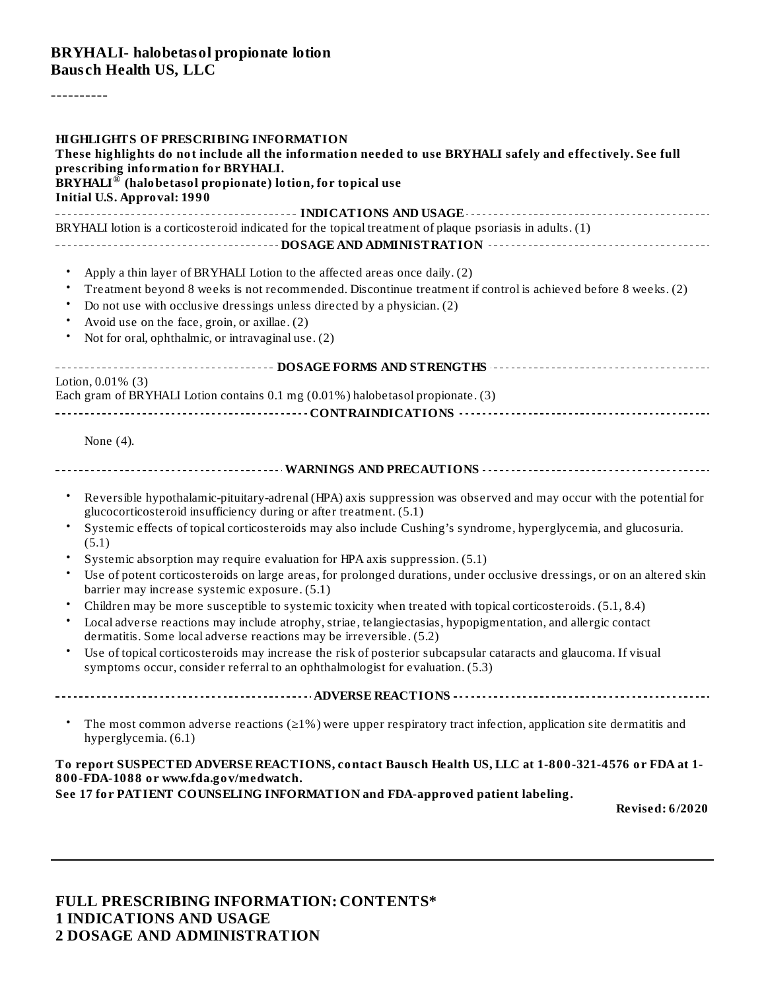#### **BRYHALI- halobetasol propionate lotion Baus ch Health US, LLC**

----------

| <b>HIGHLIGHTS OF PRESCRIBING INFORMATION</b><br>These highlights do not include all the information needed to use BRYHALI safely and effectively. See full<br>prescribing information for BRYHALI.<br>BRYHALI <sup>®</sup> (halobetasol propionate) lotion, for topical use<br><b>Initial U.S. Approval: 1990</b>                                                                                                                                                                                                                                                                                                                                                                                                                                                                                                                                                                                                                                                                                                                              |
|------------------------------------------------------------------------------------------------------------------------------------------------------------------------------------------------------------------------------------------------------------------------------------------------------------------------------------------------------------------------------------------------------------------------------------------------------------------------------------------------------------------------------------------------------------------------------------------------------------------------------------------------------------------------------------------------------------------------------------------------------------------------------------------------------------------------------------------------------------------------------------------------------------------------------------------------------------------------------------------------------------------------------------------------|
| BRYHALI lotion is a corticosteroid indicated for the topical treatment of plaque psoriasis in adults. (1)                                                                                                                                                                                                                                                                                                                                                                                                                                                                                                                                                                                                                                                                                                                                                                                                                                                                                                                                      |
| $\bullet$<br>Apply a thin layer of BRYHALI Lotion to the affected areas once daily. (2)<br>Treatment beyond 8 weeks is not recommended. Discontinue treatment if control is achieved before 8 weeks. (2)<br>$\bullet$<br>Do not use with occlusive dressings unless directed by a physician. (2)<br>$\bullet$<br>Avoid use on the face, groin, or axillae. (2)<br>Not for oral, ophthalmic, or intravaginal use. (2)<br>$\bullet$                                                                                                                                                                                                                                                                                                                                                                                                                                                                                                                                                                                                              |
| ------------------------------------ DOSAGE FORMS AND STRENGTHS -----------------------------------                                                                                                                                                                                                                                                                                                                                                                                                                                                                                                                                                                                                                                                                                                                                                                                                                                                                                                                                            |
| Lotion, 0.01% (3)<br>Each gram of BRYHALI Lotion contains 0.1 mg (0.01%) halobetasol propionate. (3)                                                                                                                                                                                                                                                                                                                                                                                                                                                                                                                                                                                                                                                                                                                                                                                                                                                                                                                                           |
| None $(4)$ .                                                                                                                                                                                                                                                                                                                                                                                                                                                                                                                                                                                                                                                                                                                                                                                                                                                                                                                                                                                                                                   |
|                                                                                                                                                                                                                                                                                                                                                                                                                                                                                                                                                                                                                                                                                                                                                                                                                                                                                                                                                                                                                                                |
| Reversible hypothalamic-pituitary-adrenal (HPA) axis suppression was observed and may occur with the potential for<br>$\bullet$<br>glucocorticosteroid insufficiency during or after treatment. (5.1)<br>Systemic effects of topical corticosteroids may also include Cushing's syndrome, hyperglycemia, and glucosuria.<br>(5.1)<br>Systemic absorption may require evaluation for HPA axis suppression. (5.1)<br>Use of potent corticosteroids on large areas, for prolonged durations, under occlusive dressings, or on an altered skin<br>$\bullet$<br>barrier may increase systemic exposure. (5.1)<br>Children may be more susceptible to systemic toxicity when treated with topical corticosteroids. (5.1, 8.4)<br>$\bullet$<br>Local adverse reactions may include atrophy, striae, telangiectasias, hypopigmentation, and allergic contact<br>dermatitis. Some local adverse reactions may be irreversible. (5.2)<br>Use of topical corticosteroids may increase the risk of posterior subcapsular cataracts and glaucoma. If visual |
| symptoms occur, consider referral to an ophthalmologist for evaluation. (5.3)                                                                                                                                                                                                                                                                                                                                                                                                                                                                                                                                                                                                                                                                                                                                                                                                                                                                                                                                                                  |
|                                                                                                                                                                                                                                                                                                                                                                                                                                                                                                                                                                                                                                                                                                                                                                                                                                                                                                                                                                                                                                                |
| The most common adverse reactions ( $\geq$ 1%) were upper respiratory tract infection, application site dermatitis and<br>$\bullet$<br>hyperglycemia. (6.1)                                                                                                                                                                                                                                                                                                                                                                                                                                                                                                                                                                                                                                                                                                                                                                                                                                                                                    |
| To report SUSPECTED ADVERSE REACTIONS, contact Bausch Health US, LLC at 1-800-321-4576 or FDA at 1-<br>800-FDA-1088 or www.fda.gov/medwatch.                                                                                                                                                                                                                                                                                                                                                                                                                                                                                                                                                                                                                                                                                                                                                                                                                                                                                                   |
| See 17 for PATIENT COUNSELING INFORMATION and FDA-approved patient labeling.<br>Revised: 6/2020                                                                                                                                                                                                                                                                                                                                                                                                                                                                                                                                                                                                                                                                                                                                                                                                                                                                                                                                                |

#### **FULL PRESCRIBING INFORMATION: CONTENTS\* 1 INDICATIONS AND USAGE 2 DOSAGE AND ADMINISTRATION**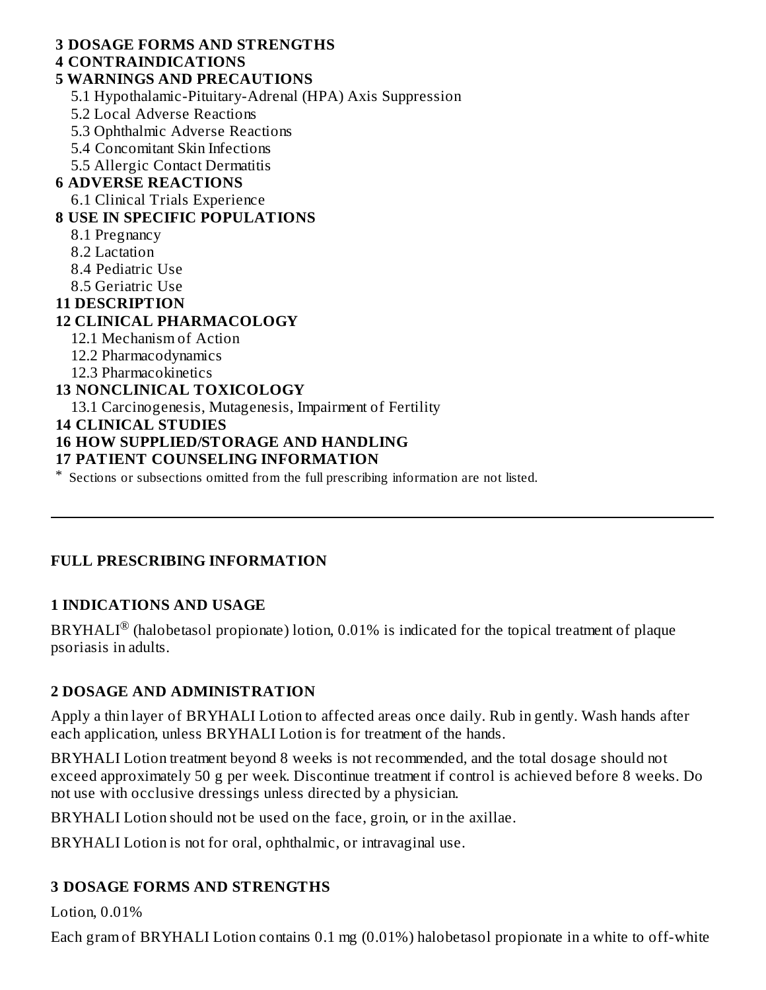### **3 DOSAGE FORMS AND STRENGTHS**

# **4 CONTRAINDICATIONS**

### **5 WARNINGS AND PRECAUTIONS**

5.1 Hypothalamic-Pituitary-Adrenal (HPA) Axis Suppression

5.2 Local Adverse Reactions

5.3 Ophthalmic Adverse Reactions

5.4 Concomitant Skin Infections

5.5 Allergic Contact Dermatitis

### **6 ADVERSE REACTIONS**

6.1 Clinical Trials Experience

### **8 USE IN SPECIFIC POPULATIONS**

- 8.1 Pregnancy
- 8.2 Lactation
- 8.4 Pediatric Use
- 8.5 Geriatric Use

### **11 DESCRIPTION**

# **12 CLINICAL PHARMACOLOGY**

- 12.1 Mechanism of Action
- 12.2 Pharmacodynamics
- 12.3 Pharmacokinetics

### **13 NONCLINICAL TOXICOLOGY**

13.1 Carcinogenesis, Mutagenesis, Impairment of Fertility

#### **14 CLINICAL STUDIES**

### **16 HOW SUPPLIED/STORAGE AND HANDLING**

#### **17 PATIENT COUNSELING INFORMATION**

\* Sections or subsections omitted from the full prescribing information are not listed.

### **FULL PRESCRIBING INFORMATION**

### **1 INDICATIONS AND USAGE**

BRYHALI $^{\circledR}$  (halobetasol propionate) lotion, 0.01% is indicated for the topical treatment of plaque psoriasis in adults.

### **2 DOSAGE AND ADMINISTRATION**

Apply a thin layer of BRYHALI Lotion to affected areas once daily. Rub in gently. Wash hands after each application, unless BRYHALI Lotion is for treatment of the hands.

BRYHALI Lotion treatment beyond 8 weeks is not recommended, and the total dosage should not exceed approximately 50 g per week. Discontinue treatment if control is achieved before 8 weeks. Do not use with occlusive dressings unless directed by a physician.

BRYHALI Lotion should not be used on the face, groin, or in the axillae.

BRYHALI Lotion is not for oral, ophthalmic, or intravaginal use.

# **3 DOSAGE FORMS AND STRENGTHS**

Lotion, 0.01%

Each gram of BRYHALI Lotion contains 0.1 mg (0.01%) halobetasol propionate in a white to off-white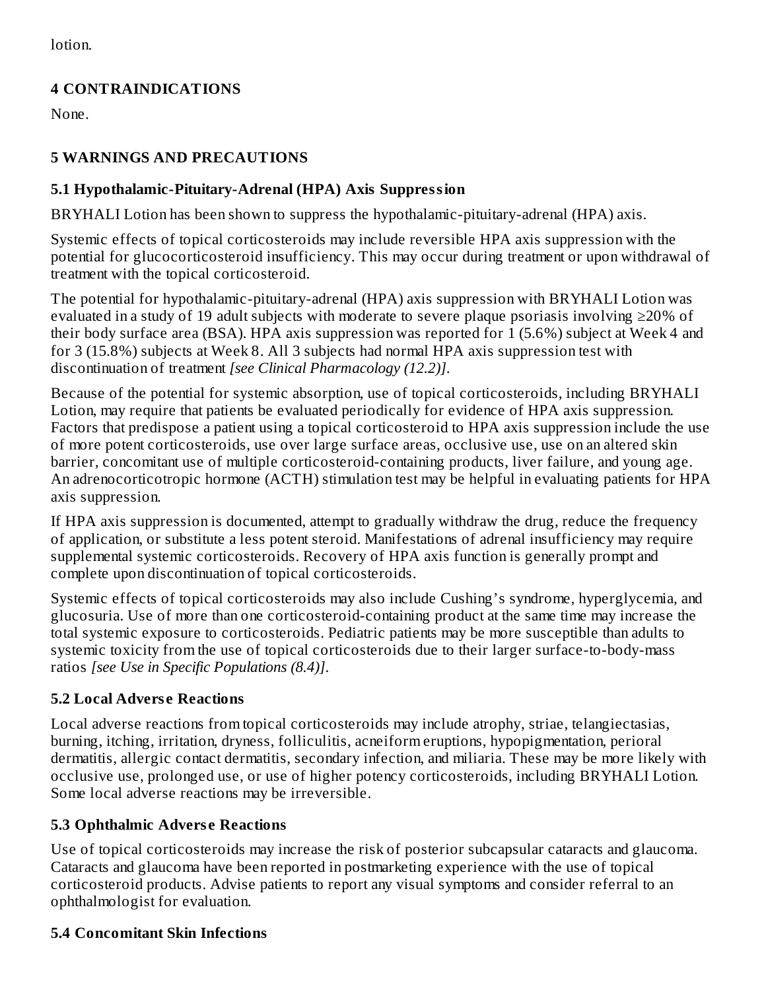lotion.

# **4 CONTRAINDICATIONS**

None.

# **5 WARNINGS AND PRECAUTIONS**

### **5.1 Hypothalamic-Pituitary-Adrenal (HPA) Axis Suppression**

BRYHALI Lotion has been shown to suppress the hypothalamic-pituitary-adrenal (HPA) axis.

Systemic effects of topical corticosteroids may include reversible HPA axis suppression with the potential for glucocorticosteroid insufficiency. This may occur during treatment or upon withdrawal of treatment with the topical corticosteroid.

The potential for hypothalamic-pituitary-adrenal (HPA) axis suppression with BRYHALI Lotion was evaluated in a study of 19 adult subjects with moderate to severe plaque psoriasis involving ≥20% of their body surface area (BSA). HPA axis suppression was reported for 1 (5.6%) subject at Week 4 and for 3 (15.8%) subjects at Week 8. All 3 subjects had normal HPA axis suppression test with discontinuation of treatment *[see Clinical Pharmacology (12.2)]*.

Because of the potential for systemic absorption, use of topical corticosteroids, including BRYHALI Lotion, may require that patients be evaluated periodically for evidence of HPA axis suppression. Factors that predispose a patient using a topical corticosteroid to HPA axis suppression include the use of more potent corticosteroids, use over large surface areas, occlusive use, use on an altered skin barrier, concomitant use of multiple corticosteroid-containing products, liver failure, and young age. An adrenocorticotropic hormone (ACTH) stimulation test may be helpful in evaluating patients for HPA axis suppression.

If HPA axis suppression is documented, attempt to gradually withdraw the drug, reduce the frequency of application, or substitute a less potent steroid. Manifestations of adrenal insufficiency may require supplemental systemic corticosteroids. Recovery of HPA axis function is generally prompt and complete upon discontinuation of topical corticosteroids.

Systemic effects of topical corticosteroids may also include Cushing's syndrome, hyperglycemia, and glucosuria. Use of more than one corticosteroid-containing product at the same time may increase the total systemic exposure to corticosteroids. Pediatric patients may be more susceptible than adults to systemic toxicity from the use of topical corticosteroids due to their larger surface-to-body-mass ratios *[see Use in Specific Populations (8.4)]*.

# **5.2 Local Advers e Reactions**

Local adverse reactions from topical corticosteroids may include atrophy, striae, telangiectasias, burning, itching, irritation, dryness, folliculitis, acneiform eruptions, hypopigmentation, perioral dermatitis, allergic contact dermatitis, secondary infection, and miliaria. These may be more likely with occlusive use, prolonged use, or use of higher potency corticosteroids, including BRYHALI Lotion. Some local adverse reactions may be irreversible.

# **5.3 Ophthalmic Advers e Reactions**

Use of topical corticosteroids may increase the risk of posterior subcapsular cataracts and glaucoma. Cataracts and glaucoma have been reported in postmarketing experience with the use of topical corticosteroid products. Advise patients to report any visual symptoms and consider referral to an ophthalmologist for evaluation.

# **5.4 Concomitant Skin Infections**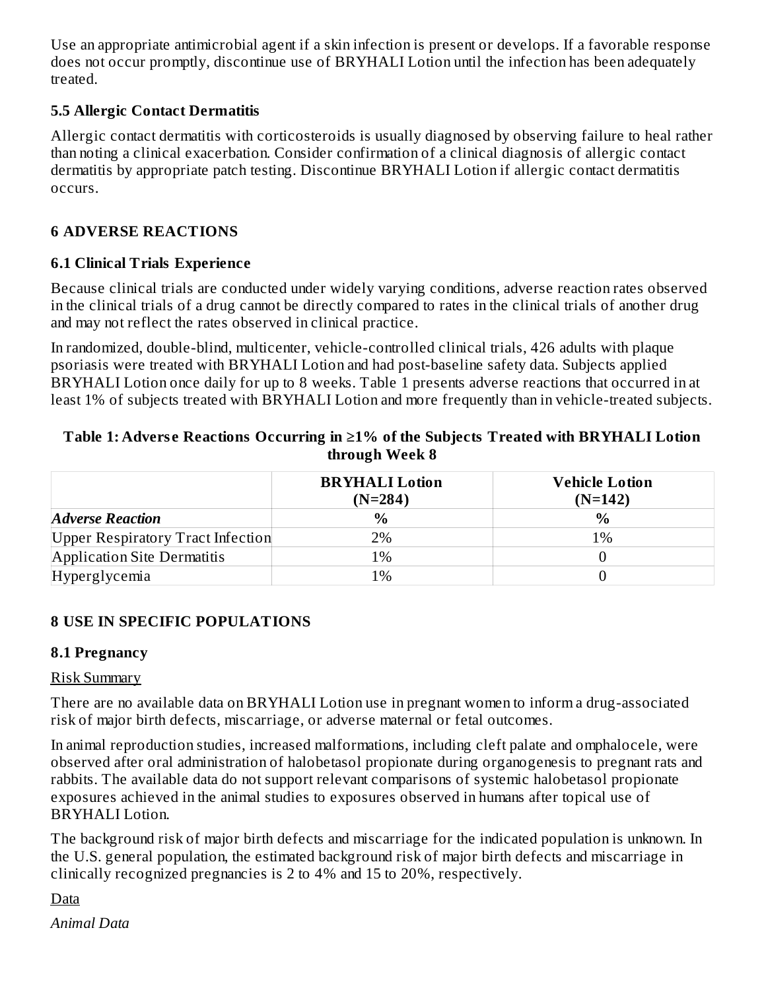Use an appropriate antimicrobial agent if a skin infection is present or develops. If a favorable response does not occur promptly, discontinue use of BRYHALI Lotion until the infection has been adequately treated.

### **5.5 Allergic Contact Dermatitis**

Allergic contact dermatitis with corticosteroids is usually diagnosed by observing failure to heal rather than noting a clinical exacerbation. Consider confirmation of a clinical diagnosis of allergic contact dermatitis by appropriate patch testing. Discontinue BRYHALI Lotion if allergic contact dermatitis occurs.

### **6 ADVERSE REACTIONS**

### **6.1 Clinical Trials Experience**

Because clinical trials are conducted under widely varying conditions, adverse reaction rates observed in the clinical trials of a drug cannot be directly compared to rates in the clinical trials of another drug and may not reflect the rates observed in clinical practice.

In randomized, double-blind, multicenter, vehicle-controlled clinical trials, 426 adults with plaque psoriasis were treated with BRYHALI Lotion and had post-baseline safety data. Subjects applied BRYHALI Lotion once daily for up to 8 weeks. Table 1 presents adverse reactions that occurred in at least 1% of subjects treated with BRYHALI Lotion and more frequently than in vehicle-treated subjects.

#### **Table 1: Advers e Reactions Occurring in ≥1% of the Subjects Treated with BRYHALI Lotion through Week 8**

|                                          | <b>BRYHALI</b> Lotion<br>$(N=284)$ | <b>Vehicle Lotion</b><br>$(N=142)$ |
|------------------------------------------|------------------------------------|------------------------------------|
| <b>Adverse Reaction</b>                  | $\%$                               | $\frac{0}{0}$                      |
| <b>Upper Respiratory Tract Infection</b> | 2%                                 | 1%                                 |
| Application Site Dermatitis              | 1%                                 |                                    |
| Hyperglycemia                            | $1\%$                              |                                    |

### **8 USE IN SPECIFIC POPULATIONS**

### **8.1 Pregnancy**

### Risk Summary

There are no available data on BRYHALI Lotion use in pregnant women to inform a drug-associated risk of major birth defects, miscarriage, or adverse maternal or fetal outcomes.

In animal reproduction studies, increased malformations, including cleft palate and omphalocele, were observed after oral administration of halobetasol propionate during organogenesis to pregnant rats and rabbits. The available data do not support relevant comparisons of systemic halobetasol propionate exposures achieved in the animal studies to exposures observed in humans after topical use of BRYHALI Lotion.

The background risk of major birth defects and miscarriage for the indicated population is unknown. In the U.S. general population, the estimated background risk of major birth defects and miscarriage in clinically recognized pregnancies is 2 to 4% and 15 to 20%, respectively.

Data

*Animal Data*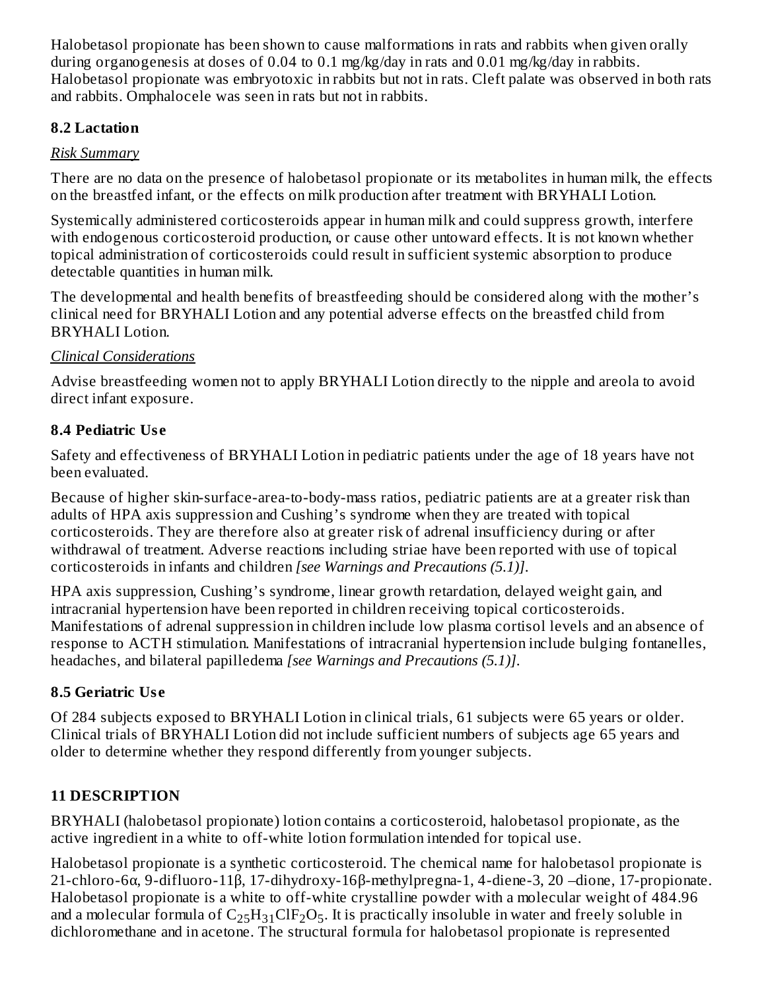Halobetasol propionate has been shown to cause malformations in rats and rabbits when given orally during organogenesis at doses of 0.04 to 0.1 mg/kg/day in rats and 0.01 mg/kg/day in rabbits. Halobetasol propionate was embryotoxic in rabbits but not in rats. Cleft palate was observed in both rats and rabbits. Omphalocele was seen in rats but not in rabbits.

### **8.2 Lactation**

# *Risk Summary*

There are no data on the presence of halobetasol propionate or its metabolites in human milk, the effects on the breastfed infant, or the effects on milk production after treatment with BRYHALI Lotion.

Systemically administered corticosteroids appear in human milk and could suppress growth, interfere with endogenous corticosteroid production, or cause other untoward effects. It is not known whether topical administration of corticosteroids could result in sufficient systemic absorption to produce detectable quantities in human milk.

The developmental and health benefits of breastfeeding should be considered along with the mother's clinical need for BRYHALI Lotion and any potential adverse effects on the breastfed child from BRYHALI Lotion.

# *Clinical Considerations*

Advise breastfeeding women not to apply BRYHALI Lotion directly to the nipple and areola to avoid direct infant exposure.

# **8.4 Pediatric Us e**

Safety and effectiveness of BRYHALI Lotion in pediatric patients under the age of 18 years have not been evaluated.

Because of higher skin-surface-area-to-body-mass ratios, pediatric patients are at a greater risk than adults of HPA axis suppression and Cushing's syndrome when they are treated with topical corticosteroids. They are therefore also at greater risk of adrenal insufficiency during or after withdrawal of treatment. Adverse reactions including striae have been reported with use of topical corticosteroids in infants and children *[see Warnings and Precautions (5.1)]*.

HPA axis suppression, Cushing's syndrome, linear growth retardation, delayed weight gain, and intracranial hypertension have been reported in children receiving topical corticosteroids. Manifestations of adrenal suppression in children include low plasma cortisol levels and an absence of response to ACTH stimulation. Manifestations of intracranial hypertension include bulging fontanelles, headaches, and bilateral papilledema *[see Warnings and Precautions (5.1)]*.

# **8.5 Geriatric Us e**

Of 284 subjects exposed to BRYHALI Lotion in clinical trials, 61 subjects were 65 years or older. Clinical trials of BRYHALI Lotion did not include sufficient numbers of subjects age 65 years and older to determine whether they respond differently from younger subjects.

# **11 DESCRIPTION**

BRYHALI (halobetasol propionate) lotion contains a corticosteroid, halobetasol propionate, as the active ingredient in a white to off-white lotion formulation intended for topical use.

Halobetasol propionate is a synthetic corticosteroid. The chemical name for halobetasol propionate is 21-chloro-6α, 9-difluoro-11β, 17-dihydroxy-16β-methylpregna-1, 4-diene-3, 20 –dione, 17-propionate. Halobetasol propionate is a white to off-white crystalline powder with a molecular weight of 484.96 and a molecular formula of  $\rm{C_{25}H_{31}ClF_2O_5}$ . It is practically insoluble in water and freely soluble in dichloromethane and in acetone. The structural formula for halobetasol propionate is represented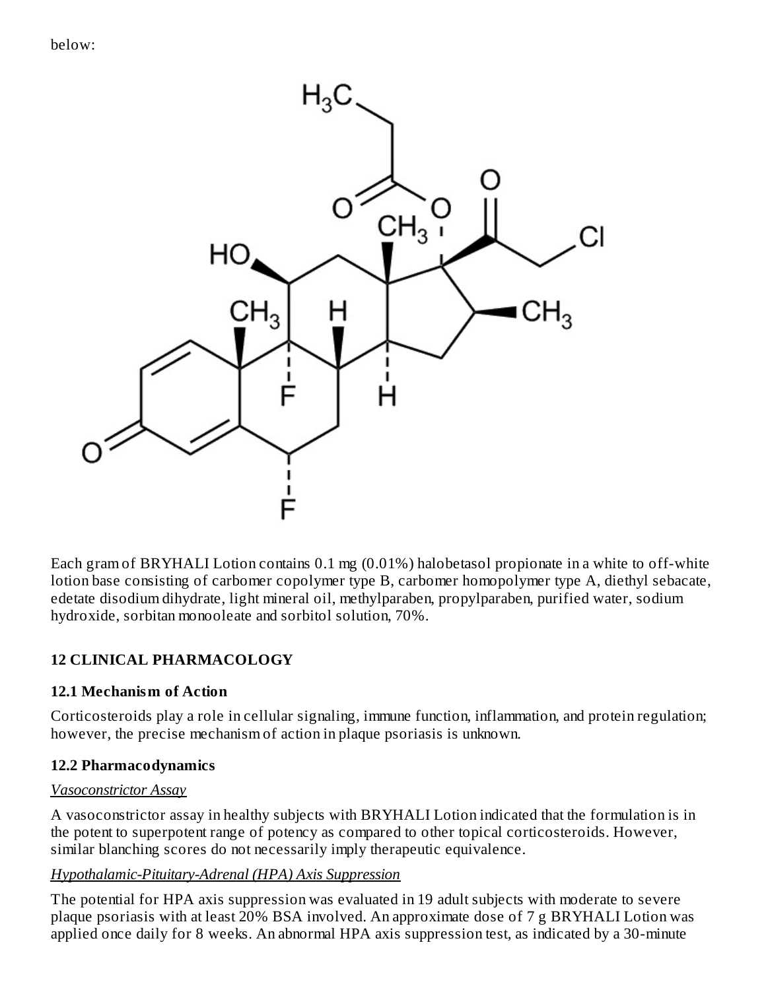

Each gram of BRYHALI Lotion contains 0.1 mg (0.01%) halobetasol propionate in a white to off-white lotion base consisting of carbomer copolymer type B, carbomer homopolymer type A, diethyl sebacate, edetate disodium dihydrate, light mineral oil, methylparaben, propylparaben, purified water, sodium hydroxide, sorbitan monooleate and sorbitol solution, 70%.

# **12 CLINICAL PHARMACOLOGY**

# **12.1 Mechanism of Action**

Corticosteroids play a role in cellular signaling, immune function, inflammation, and protein regulation; however, the precise mechanism of action in plaque psoriasis is unknown.

# **12.2 Pharmacodynamics**

### *Vasoconstrictor Assay*

A vasoconstrictor assay in healthy subjects with BRYHALI Lotion indicated that the formulation is in the potent to superpotent range of potency as compared to other topical corticosteroids. However, similar blanching scores do not necessarily imply therapeutic equivalence.

### *Hypothalamic-Pituitary-Adrenal (HPA) Axis Suppression*

The potential for HPA axis suppression was evaluated in 19 adult subjects with moderate to severe plaque psoriasis with at least 20% BSA involved. An approximate dose of 7 g BRYHALI Lotion was applied once daily for 8 weeks. An abnormal HPA axis suppression test, as indicated by a 30-minute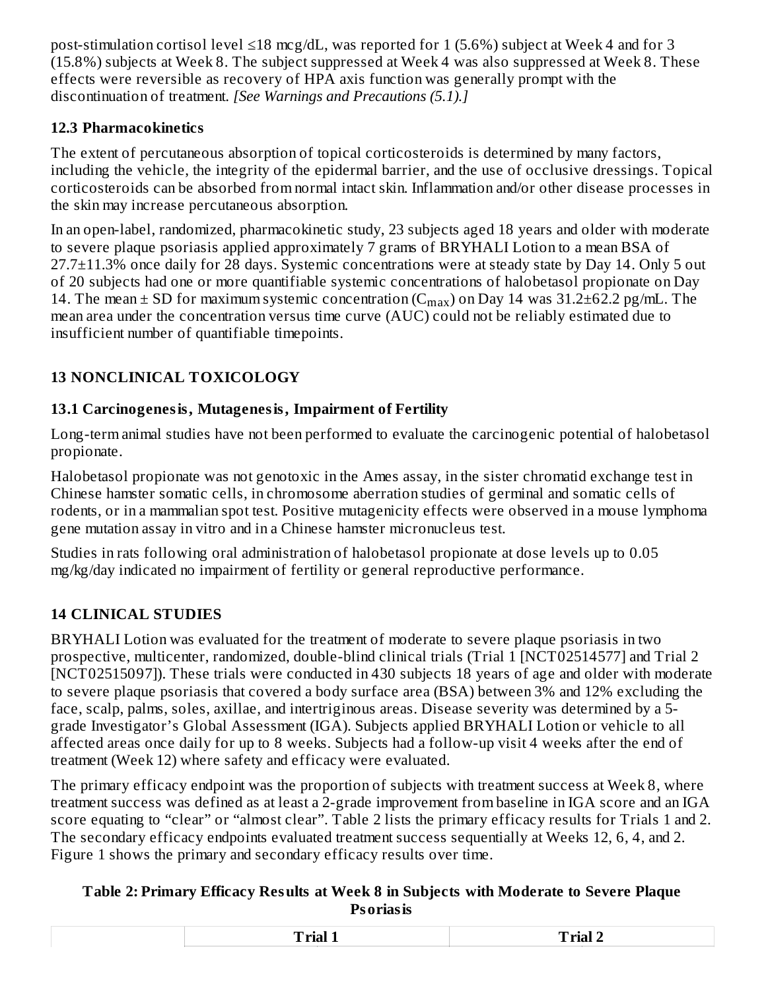post-stimulation cortisol level ≤18 mcg/dL, was reported for 1 (5.6%) subject at Week 4 and for 3 (15.8%) subjects at Week 8. The subject suppressed at Week 4 was also suppressed at Week 8. These effects were reversible as recovery of HPA axis function was generally prompt with the discontinuation of treatment. *[See Warnings and Precautions (5.1).]*

# **12.3 Pharmacokinetics**

The extent of percutaneous absorption of topical corticosteroids is determined by many factors, including the vehicle, the integrity of the epidermal barrier, and the use of occlusive dressings. Topical corticosteroids can be absorbed from normal intact skin. Inflammation and/or other disease processes in the skin may increase percutaneous absorption.

In an open-label, randomized, pharmacokinetic study, 23 subjects aged 18 years and older with moderate to severe plaque psoriasis applied approximately 7 grams of BRYHALI Lotion to a mean BSA of 27.7±11.3% once daily for 28 days. Systemic concentrations were at steady state by Day 14. Only 5 out of 20 subjects had one or more quantifiable systemic concentrations of halobetasol propionate on Day 14. The mean  $\pm$  SD for maximum systemic concentration ( $C_{max}$ ) on Day 14 was 31.2 $\pm$ 62.2 pg/mL. The mean area under the concentration versus time curve (AUC) could not be reliably estimated due to insufficient number of quantifiable timepoints.

# **13 NONCLINICAL TOXICOLOGY**

# **13.1 Carcinogenesis, Mutagenesis, Impairment of Fertility**

Long-term animal studies have not been performed to evaluate the carcinogenic potential of halobetasol propionate.

Halobetasol propionate was not genotoxic in the Ames assay, in the sister chromatid exchange test in Chinese hamster somatic cells, in chromosome aberration studies of germinal and somatic cells of rodents, or in a mammalian spot test. Positive mutagenicity effects were observed in a mouse lymphoma gene mutation assay in vitro and in a Chinese hamster micronucleus test.

Studies in rats following oral administration of halobetasol propionate at dose levels up to 0.05 mg/kg/day indicated no impairment of fertility or general reproductive performance.

# **14 CLINICAL STUDIES**

BRYHALI Lotion was evaluated for the treatment of moderate to severe plaque psoriasis in two prospective, multicenter, randomized, double-blind clinical trials (Trial 1 [NCT02514577] and Trial 2 [NCT02515097]). These trials were conducted in 430 subjects 18 years of age and older with moderate to severe plaque psoriasis that covered a body surface area (BSA) between 3% and 12% excluding the face, scalp, palms, soles, axillae, and intertriginous areas. Disease severity was determined by a 5 grade Investigator's Global Assessment (IGA). Subjects applied BRYHALI Lotion or vehicle to all affected areas once daily for up to 8 weeks. Subjects had a follow-up visit 4 weeks after the end of treatment (Week 12) where safety and efficacy were evaluated.

The primary efficacy endpoint was the proportion of subjects with treatment success at Week 8, where treatment success was defined as at least a 2-grade improvement from baseline in IGA score and an IGA score equating to "clear" or "almost clear". Table 2 lists the primary efficacy results for Trials 1 and 2. The secondary efficacy endpoints evaluated treatment success sequentially at Weeks 12, 6, 4, and 2. Figure 1 shows the primary and secondary efficacy results over time.

### **Table 2: Primary Efficacy Results at Week 8 in Subjects with Moderate to Severe Plaque Psoriasis**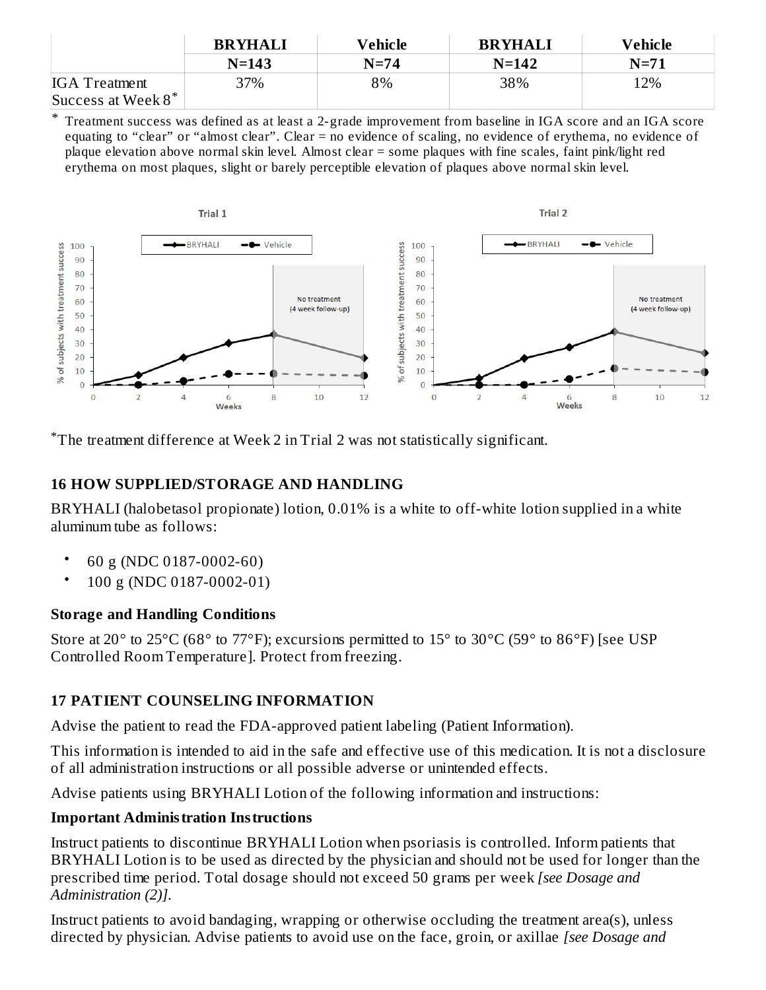|                       | <b>BRYHALI</b> | Vehicle | <b>BRYHALI</b> | Vehicle |
|-----------------------|----------------|---------|----------------|---------|
|                       | $N = 143$      | $N=74$  | $N = 142$      | $N=71$  |
| <b>IGA</b> Treatment  | 37%            | 8%      | 38%            | 12%     |
| Success at Week $8^*$ |                |         |                |         |

\* Treatment success was defined as at least a 2-grade improvement from baseline in IGA score and an IGA score equating to "clear" or "almost clear". Clear = no evidence of scaling, no evidence of erythema, no evidence of plaque elevation above normal skin level. Almost clear = some plaques with fine scales, faint pink/light red erythema on most plaques, slight or barely perceptible elevation of plaques above normal skin level.



The treatment difference at Week 2 in Trial 2 was not statistically significant. \*

### **16 HOW SUPPLIED/STORAGE AND HANDLING**

BRYHALI (halobetasol propionate) lotion, 0.01% is a white to off-white lotion supplied in a white aluminum tube as follows:

- 60 g (NDC 0187-0002-60)
- 100 g (NDC 0187-0002-01)

# **Storage and Handling Conditions**

Store at 20° to 25°C (68° to 77°F); excursions permitted to 15° to 30°C (59° to 86°F) [see USP Controlled Room Temperature]. Protect from freezing.

# **17 PATIENT COUNSELING INFORMATION**

Advise the patient to read the FDA-approved patient labeling (Patient Information).

This information is intended to aid in the safe and effective use of this medication. It is not a disclosure of all administration instructions or all possible adverse or unintended effects.

Advise patients using BRYHALI Lotion of the following information and instructions:

# **Important Administration Instructions**

Instruct patients to discontinue BRYHALI Lotion when psoriasis is controlled. Inform patients that BRYHALI Lotion is to be used as directed by the physician and should not be used for longer than the prescribed time period. Total dosage should not exceed 50 grams per week *[see Dosage and Administration (2)]*.

Instruct patients to avoid bandaging, wrapping or otherwise occluding the treatment area(s), unless directed by physician. Advise patients to avoid use on the face, groin, or axillae *[see Dosage and*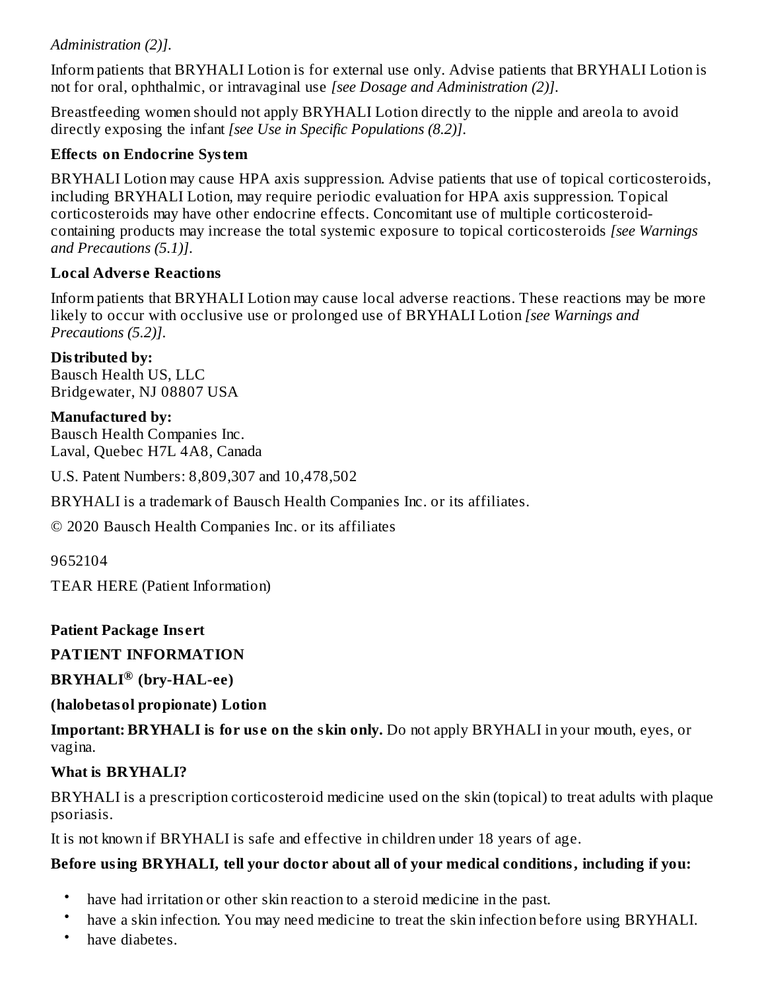### *Administration (2)]*.

Inform patients that BRYHALI Lotion is for external use only. Advise patients that BRYHALI Lotion is not for oral, ophthalmic, or intravaginal use *[see Dosage and Administration (2)]*.

Breastfeeding women should not apply BRYHALI Lotion directly to the nipple and areola to avoid directly exposing the infant *[see Use in Specific Populations (8.2)]*.

### **Effects on Endocrine System**

BRYHALI Lotion may cause HPA axis suppression. Advise patients that use of topical corticosteroids, including BRYHALI Lotion, may require periodic evaluation for HPA axis suppression. Topical corticosteroids may have other endocrine effects. Concomitant use of multiple corticosteroidcontaining products may increase the total systemic exposure to topical corticosteroids *[see Warnings and Precautions (5.1)]*.

### **Local Advers e Reactions**

Inform patients that BRYHALI Lotion may cause local adverse reactions. These reactions may be more likely to occur with occlusive use or prolonged use of BRYHALI Lotion *[see Warnings and Precautions (5.2)]*.

#### **Distributed by:** Bausch Health US, LLC

Bridgewater, NJ 08807 USA

### **Manufactured by:**

Bausch Health Companies Inc. Laval, Quebec H7L 4A8, Canada

U.S. Patent Numbers: 8,809,307 and 10,478,502

BRYHALI is a trademark of Bausch Health Companies Inc. or its affiliates.

© 2020 Bausch Health Companies Inc. or its affiliates

### 9652104

TEAR HERE (Patient Information)

# **Patient Package Ins ert**

# **PATIENT INFORMATION**

# **BRYHALI (bry-HAL-ee) ®**

# **(halobetasol propionate) Lotion**

**Important: BRYHALI** is for use on the skin only. Do not apply BRYHALI in your mouth, eyes, or vagina.

# **What is BRYHALI?**

BRYHALI is a prescription corticosteroid medicine used on the skin (topical) to treat adults with plaque psoriasis.

It is not known if BRYHALI is safe and effective in children under 18 years of age.

# **Before using BRYHALI, tell your doctor about all of your medical conditions, including if you:**

- have had irritation or other skin reaction to a steroid medicine in the past.
- have a skin infection. You may need medicine to treat the skin infection before using BRYHALI.
- have diabetes.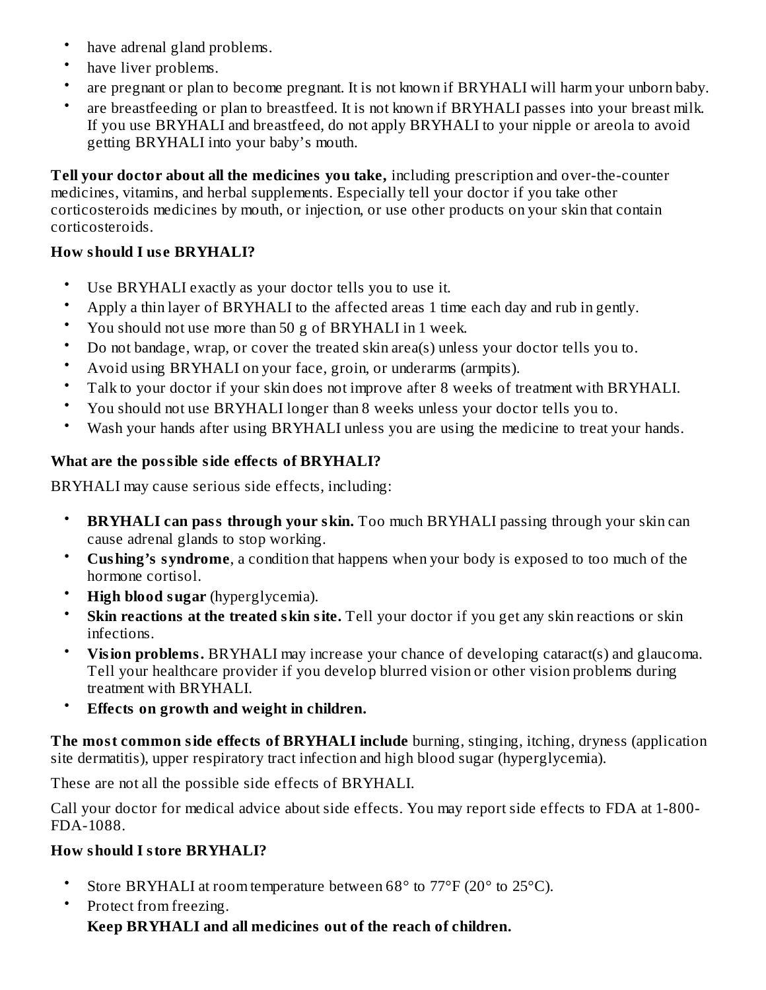- have adrenal gland problems.
- have liver problems.
- are pregnant or plan to become pregnant. It is not known if BRYHALI will harm your unborn baby.
- are breastfeeding or plan to breastfeed. It is not known if BRYHALI passes into your breast milk. If you use BRYHALI and breastfeed, do not apply BRYHALI to your nipple or areola to avoid getting BRYHALI into your baby's mouth.

**Tell your doctor about all the medicines you take,** including prescription and over-the-counter medicines, vitamins, and herbal supplements. Especially tell your doctor if you take other corticosteroids medicines by mouth, or injection, or use other products on your skin that contain corticosteroids.

# **How should I us e BRYHALI?**

- Use BRYHALI exactly as your doctor tells you to use it.
- Apply a thin layer of BRYHALI to the affected areas 1 time each day and rub in gently.
- You should not use more than 50 g of BRYHALI in 1 week.
- Do not bandage, wrap, or cover the treated skin area(s) unless your doctor tells you to.
- Avoid using BRYHALI on your face, groin, or underarms (armpits).
- Talk to your doctor if your skin does not improve after 8 weeks of treatment with BRYHALI.
- You should not use BRYHALI longer than 8 weeks unless your doctor tells you to.
- Wash your hands after using BRYHALI unless you are using the medicine to treat your hands.

# **What are the possible side effects of BRYHALI?**

BRYHALI may cause serious side effects, including:

- **BRYHALI can pass through your skin.** Too much BRYHALI passing through your skin can cause adrenal glands to stop working.
- **Cushing's syndrome**, a condition that happens when your body is exposed to too much of the hormone cortisol.
- **High blood sugar** (hyperglycemia).
- **Skin reactions at the treated skin site.** Tell your doctor if you get any skin reactions or skin infections.
- **Vision problems.** BRYHALI may increase your chance of developing cataract(s) and glaucoma. Tell your healthcare provider if you develop blurred vision or other vision problems during treatment with BRYHALI.
- **Effects on growth and weight in children.**

**The most common side effects of BRYHALI include** burning, stinging, itching, dryness (application site dermatitis), upper respiratory tract infection and high blood sugar (hyperglycemia).

These are not all the possible side effects of BRYHALI.

Call your doctor for medical advice about side effects. You may report side effects to FDA at 1-800- FDA-1088.

# **How should I store BRYHALI?**

- Store BRYHALI at room temperature between 68° to 77°F (20° to 25°C).
- Protect from freezing.

**Keep BRYHALI and all medicines out of the reach of children.**